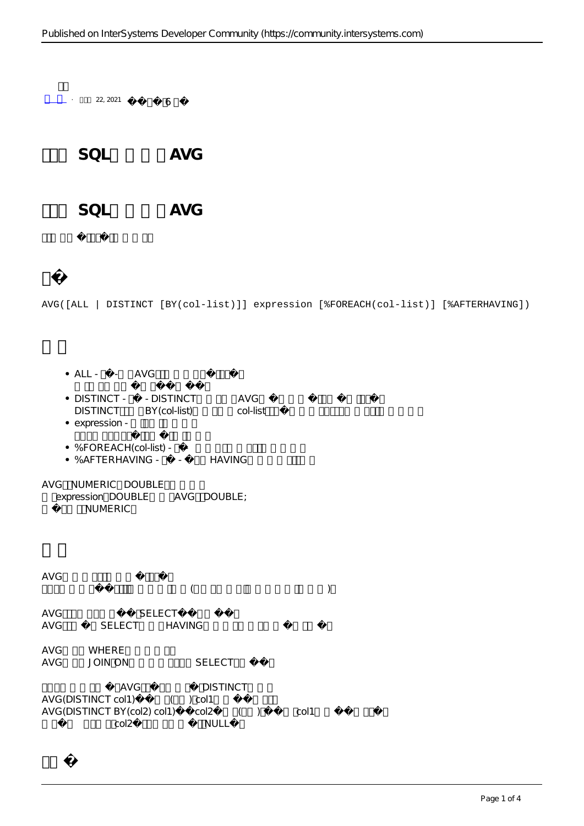$+$  22, 2021 6 SQL AVG SOL AVG

## AVG([ALL | DISTINCT [BY(col-list)]] expression [%FOREACH(col-list)] [%AFTERHAVING])

- $\bullet$  ALL - AVG
- DISTINCT - DISTINCT AVG DISTINCT BY(col-list) col-list
- expression -
- $\bullet$  %FOREACH(col-list)  $-$
- $\bullet$  % AFTERHAVING  $\bullet$  HAVING
- AVG NUMERIC DOUBLE expression DOUBLE AVG DOUBLE; NUMERIC

AVG

 $($ AVG SELECT AVG SELECT HAVING AVG WHERE AVG JOIN ON SELECT AVG DISTINCT AVG(DISTINCT col1) ( ) col1 AVG(DISTINCT BY(col2) col1) col2 () col1

col2 NULL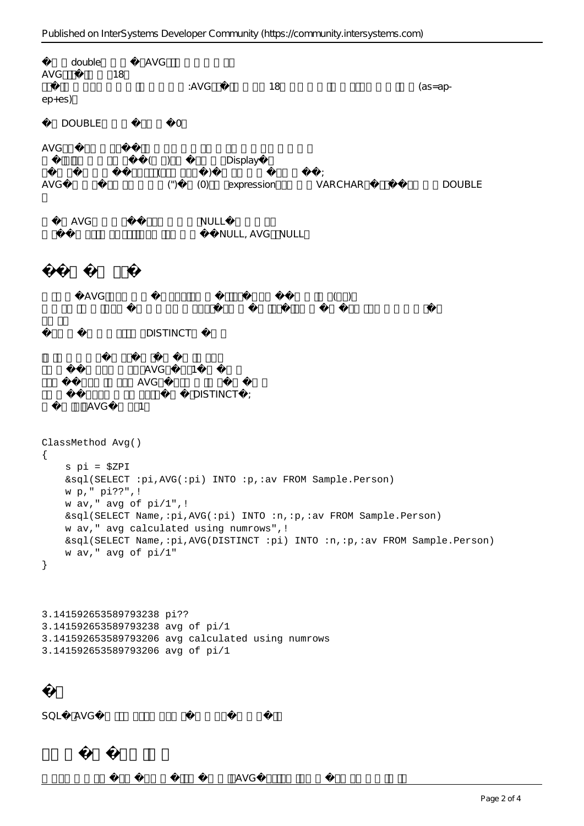```
double AVG
AVG 18
A \vee G and A \vee G and A \vee G and A \vee G and A \vee G and A \vee G and A \vee G and A \vee G are A \vee G and A \vee G and A \vee G and A \vee G and A \vee G and A \vee G and A \vee G and A \vee G and A \vee G and A \vee G and A \veeep+es)DOUBLE 0
\mathsf{AVG}( ) Display
( and )AVG (") (0) expression VARCHAR DOUBLE
在导出AVG聚合函数值时,数据字段中的NULL值将被忽略。
                           NULL, AVG NULL
AVG ( )
                DISTINCT
AVG 1
A \vee GDISTINCT;
       AVG 1
ClassMethod Avg()
{
    s pi = $ZPI
    &sql(SELECT :pi,AVG(:pi) INTO :p,:av FROM Sample.Person)
    w p," pi??",!
    w av," avg of pi/1",!
    &sql(SELECT Name,:pi,AVG(:pi) INTO :n,:p,:av FROM Sample.Person)
    w av," avg calculated using numrows",!
    &sql(SELECT Name,:pi,AVG(DISTINCT :pi) INTO :n,:p,:av FROM Sample.Person)
    w av," avg of pi/1"
}
3.141592653589793238 pi??
3.141592653589793238 avg of pi/1
3.141592653589793206 avg calculated using numrows
3.141592653589793206 avg of pi/1
```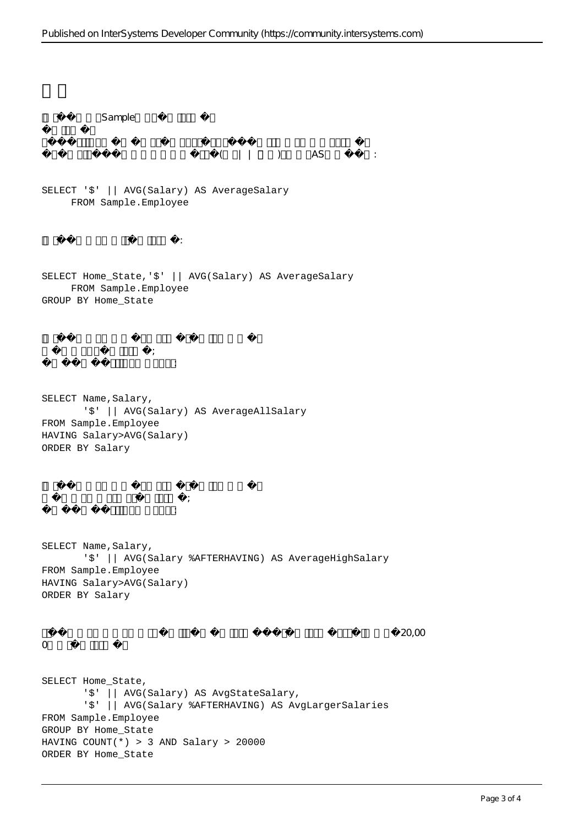Sample  $($   $||$   $)$   $AS$ SELECT '\$' || AVG(Salary) AS AverageSalary FROM Sample.Employee 下面的查询列出了每个州的员工的平均工资: SELECT Home\_State,'\$' || AVG(Salary) AS AverageSalary FROM Sample.Employee GROUP BY Home\_State  $\ddotsc$ 这个值对于查询返回的所有行都是相同的: SELECT Name, Salary, '\$' || AVG(Salary) AS AverageAllSalary FROM Sample.Employee HAVING Salary>AVG(Salary) ORDER BY Salary  $\frac{1}{2}$ 这个值对于查询返回的所有行都是相同的: SELECT Name, Salary, '\$' || AVG(Salary %AFTERHAVING) AS AverageHighSalary FROM Sample.Employee HAVING Salary>AVG(Salary) ORDER BY Salary  $\sim 20,00$  $0$ SELECT Home\_State, '\$' || AVG(Salary) AS AvgStateSalary, '\$' || AVG(Salary %AFTERHAVING) AS AvgLargerSalaries FROM Sample.Employee

GROUP BY Home\_State

ORDER BY Home\_State

HAVING COUNT(\*) > 3 AND Salary > 20000